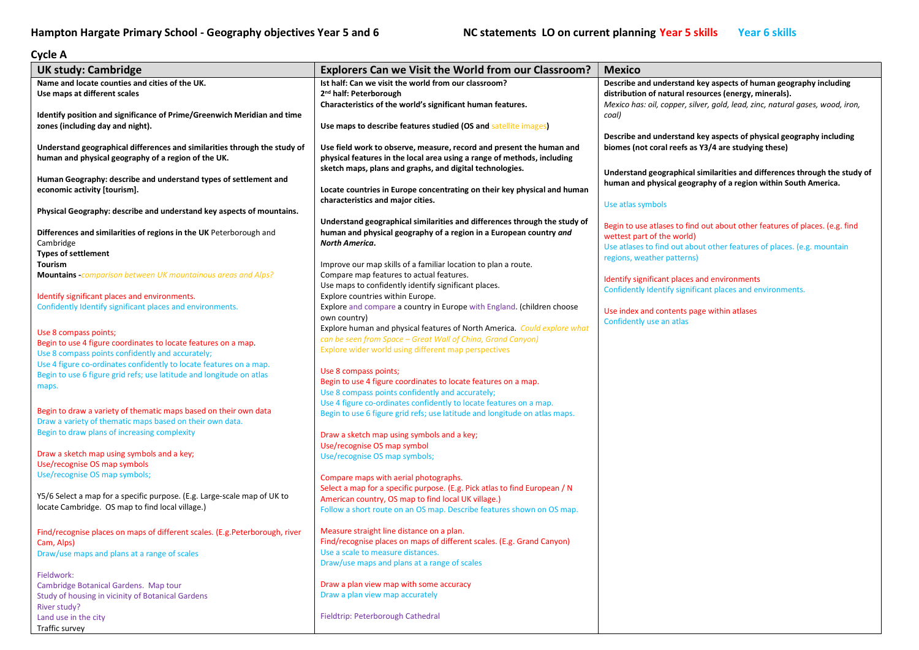## Cycle A

| <b>UK study: Cambridge</b>                                                  | <b>Explorers Can we Visit the World from our Classroom?</b>                | <b>Mexico</b>                                                                 |
|-----------------------------------------------------------------------------|----------------------------------------------------------------------------|-------------------------------------------------------------------------------|
| Name and locate counties and cities of the UK.                              | Ist half: Can we visit the world from our classroom?                       | Describe and understand key aspects of human geography including              |
| Use maps at different scales                                                | 2 <sup>nd</sup> half: Peterborough                                         | distribution of natural resources (energy, minerals).                         |
|                                                                             | Characteristics of the world's significant human features.                 | Mexico has: oil, copper, silver, gold, lead, zinc, natural gases, wood, iron, |
| Identify position and significance of Prime/Greenwich Meridian and time     |                                                                            | coal)                                                                         |
| zones (including day and night).                                            | Use maps to describe features studied (OS and satellite images)            |                                                                               |
|                                                                             |                                                                            | Describe and understand key aspects of physical geography including           |
| Understand geographical differences and similarities through the study of   | Use field work to observe, measure, record and present the human and       | biomes (not coral reefs as Y3/4 are studying these)                           |
| human and physical geography of a region of the UK.                         | physical features in the local area using a range of methods, including    |                                                                               |
|                                                                             | sketch maps, plans and graphs, and digital technologies.                   |                                                                               |
| Human Geography: describe and understand types of settlement and            |                                                                            | Understand geographical similarities and differences through the study of     |
| economic activity [tourism].                                                | Locate countries in Europe concentrating on their key physical and human   | human and physical geography of a region within South America.                |
|                                                                             | characteristics and major cities.                                          |                                                                               |
| Physical Geography: describe and understand key aspects of mountains.       |                                                                            | Use atlas symbols                                                             |
|                                                                             | Understand geographical similarities and differences through the study of  |                                                                               |
| Differences and similarities of regions in the UK Peterborough and          | human and physical geography of a region in a European country and         | Begin to use atlases to find out about other features of places. (e.g. find   |
| Cambridge                                                                   | <b>North America.</b>                                                      | wettest part of the world)                                                    |
| <b>Types of settlement</b>                                                  |                                                                            | Use atlases to find out about other features of places. (e.g. mountain        |
| Tourism                                                                     | Improve our map skills of a familiar location to plan a route.             | regions, weather patterns)                                                    |
| Mountains -comparison between UK mountainous areas and Alps?                | Compare map features to actual features.                                   |                                                                               |
|                                                                             | Use maps to confidently identify significant places.                       | Identify significant places and environments                                  |
| Identify significant places and environments.                               | Explore countries within Europe.                                           | Confidently Identify significant places and environments.                     |
| Confidently Identify significant places and environments.                   | Explore and compare a country in Europe with England. (children choose     |                                                                               |
|                                                                             | own country)                                                               | Use index and contents page within atlases                                    |
|                                                                             | Explore human and physical features of North America. Could explore what   | Confidently use an atlas                                                      |
| Use 8 compass points;                                                       | can be seen from Space - Great Wall of China, Grand Canyon)                |                                                                               |
| Begin to use 4 figure coordinates to locate features on a map.              | Explore wider world using different map perspectives                       |                                                                               |
| Use 8 compass points confidently and accurately;                            |                                                                            |                                                                               |
| Use 4 figure co-ordinates confidently to locate features on a map.          | Use 8 compass points;                                                      |                                                                               |
| Begin to use 6 figure grid refs; use latitude and longitude on atlas        | Begin to use 4 figure coordinates to locate features on a map.             |                                                                               |
| maps.                                                                       | Use 8 compass points confidently and accurately;                           |                                                                               |
|                                                                             | Use 4 figure co-ordinates confidently to locate features on a map.         |                                                                               |
| Begin to draw a variety of thematic maps based on their own data            | Begin to use 6 figure grid refs; use latitude and longitude on atlas maps. |                                                                               |
| Draw a variety of thematic maps based on their own data.                    |                                                                            |                                                                               |
| Begin to draw plans of increasing complexity                                | Draw a sketch map using symbols and a key;                                 |                                                                               |
|                                                                             | Use/recognise OS map symbol                                                |                                                                               |
| Draw a sketch map using symbols and a key;                                  | Use/recognise OS map symbols;                                              |                                                                               |
| Use/recognise OS map symbols                                                |                                                                            |                                                                               |
| Use/recognise OS map symbols;                                               | Compare maps with aerial photographs.                                      |                                                                               |
|                                                                             | Select a map for a specific purpose. (E.g. Pick atlas to find European / N |                                                                               |
| Y5/6 Select a map for a specific purpose. (E.g. Large-scale map of UK to    | American country, OS map to find local UK village.)                        |                                                                               |
| locate Cambridge. OS map to find local village.)                            | Follow a short route on an OS map. Describe features shown on OS map.      |                                                                               |
|                                                                             |                                                                            |                                                                               |
| Find/recognise places on maps of different scales. (E.g.Peterborough, river | Measure straight line distance on a plan.                                  |                                                                               |
| Cam, Alps)                                                                  | Find/recognise places on maps of different scales. (E.g. Grand Canyon)     |                                                                               |
| Draw/use maps and plans at a range of scales                                | Use a scale to measure distances.                                          |                                                                               |
|                                                                             | Draw/use maps and plans at a range of scales                               |                                                                               |
| Fieldwork:                                                                  |                                                                            |                                                                               |
| Cambridge Botanical Gardens. Map tour                                       | Draw a plan view map with some accuracy                                    |                                                                               |
| Study of housing in vicinity of Botanical Gardens                           | Draw a plan view map accurately                                            |                                                                               |
| River study?                                                                |                                                                            |                                                                               |
| Land use in the city                                                        | Fieldtrip: Peterborough Cathedral                                          |                                                                               |
| Traffic survey                                                              |                                                                            |                                                                               |